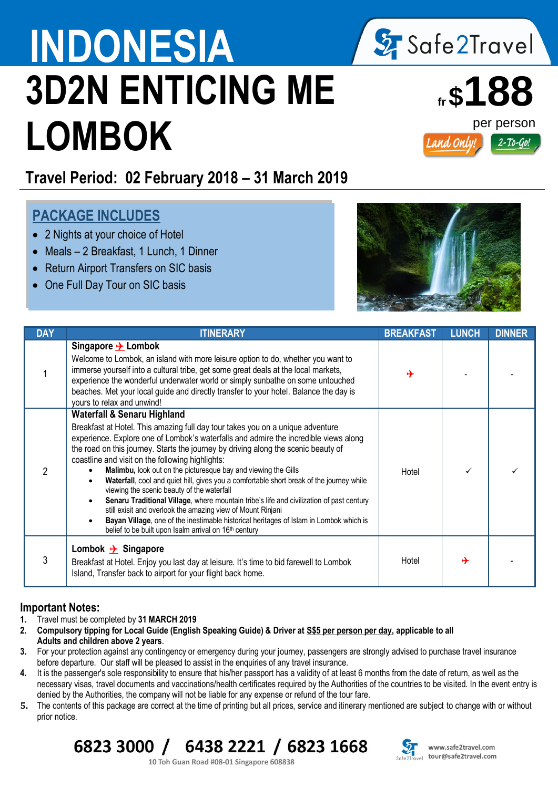# **INDONESIA** / Sy Safe2Travel **3D2N ENTICING ME LOMBOK**



## **Travel Period: 02 February 2018 – 31 March 2019**

### **PACKAGE INCLUDES**

- 2 Nights at your choice of Hotel
- Meals 2 Breakfast, 1 Lunch, 1 Dinner
- Return Airport Transfers on SIC basis
- One Full Day Tour on SIC basis



| <b>DAY</b> | <b>ITINERARY</b>                                                                                                                                                                                                                                                                                                                                                                                                                                                                                                                                                                                                                                                                                                                                                                                                                                                                                 | <b>BREAKFAST</b> | <b>LUNCH</b> | <b>DINNER</b> |
|------------|--------------------------------------------------------------------------------------------------------------------------------------------------------------------------------------------------------------------------------------------------------------------------------------------------------------------------------------------------------------------------------------------------------------------------------------------------------------------------------------------------------------------------------------------------------------------------------------------------------------------------------------------------------------------------------------------------------------------------------------------------------------------------------------------------------------------------------------------------------------------------------------------------|------------------|--------------|---------------|
|            | Singapore $\rightarrow$ Lombok<br>Welcome to Lombok, an island with more leisure option to do, whether you want to<br>immerse yourself into a cultural tribe, get some great deals at the local markets,<br>experience the wonderful underwater world or simply sunbathe on some untouched<br>beaches. Met your local guide and directly transfer to your hotel. Balance the day is<br>yours to relax and unwind!                                                                                                                                                                                                                                                                                                                                                                                                                                                                                | ⊁                |              |               |
|            | <b>Waterfall &amp; Senaru Highland</b><br>Breakfast at Hotel. This amazing full day tour takes you on a unique adventure<br>experience. Explore one of Lombok's waterfalls and admire the incredible views along<br>the road on this journey. Starts the journey by driving along the scenic beauty of<br>coastline and visit on the following highlights:<br>Malimbu, look out on the picturesque bay and viewing the Gills<br>Waterfall, cool and quiet hill, gives you a comfortable short break of the journey while<br>viewing the scenic beauty of the waterfall<br>Senaru Traditional Village, where mountain tribe's life and civilization of past century<br>still exisit and overlook the amazing view of Mount Rinjani<br>Bayan Village, one of the inestimable historical heritages of Islam in Lombok which is<br>belief to be built upon Isalm arrival on 16 <sup>th</sup> century | Hotel            |              |               |
| 3          | Lombok $\rightarrow$ Singapore<br>Breakfast at Hotel. Enjoy you last day at leisure. It's time to bid farewell to Lombok<br>Island, Transfer back to airport for your flight back home.                                                                                                                                                                                                                                                                                                                                                                                                                                                                                                                                                                                                                                                                                                          | Hotel            | ↛            |               |

#### **Important Notes:**

- **1.** Travel must be completed by **31 MARCH 2019**
- **2. Compulsory tipping for Local Guide (English Speaking Guide) & Driver at S\$5 per person per day, applicable to all Adults and children above 2 years**.
- **3.** For your protection against any contingency or emergency during your journey, passengers are strongly advised to purchase travel insurance before departure. Our staff will be pleased to assist in the enquiries of any travel insurance.
- **4.** It is the passenger's sole responsibility to ensure that his/her passport has a validity of at least 6 months from the date of return, as well as the necessary visas, travel documents and vaccinations/health certificates required by the Authorities of the countries to be visited. In the event entry is denied by the Authorities, the company will not be liable for any expense or refund of the tour fare.
- **5.** The contents of this package are correct at the time of printing but all prices, service and itinerary mentioned are subject to change with or without prior notice.

## 6823 3000 / 6438 2221 / 6823 1668



10 Toh Guan Road #08-01 Singapore 608838